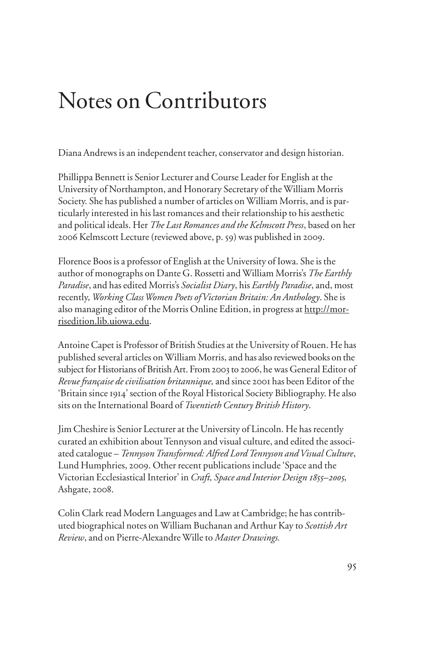## Notes on Contributors

Diana Andrews is an independent teacher, conservator and design historian.

Phillippa Bennett is Senior Lecturer and Course Leader for English at the University of Northampton, and Honorary Secretary of the William Morris Society. She has published a number of articles on William Morris, and is particularly interested in his last romances and their relationship to his aesthetic and political ideals. Her *The Last Romances and the Kelmscott Press*, based on her 2006 Kelmscott Lecture (reviewed above, p. 59) was published in 2009.

Florence Boos is a professor of English at the University of Iowa. She is the author of monographs on Dante G. Rossetti and William Morris's *The Earthly Paradise*, and has edited Morris's *Socialist Diary*, his *Earthly Paradise*, and, most recently, *Working Class Women Poets of Victorian Britain: An Anthology*. She is also managing editor of the Morris Online Edition, in progress at http://morrisedition.lib.uiowa.edu.

Antoine Capet is Professor of British Studies at the University of Rouen. He has published several articles on William Morris, and has also reviewed books on the subject for Historians of British Art. From 2003 to 2006, he was General Editor of *Revue française de civilisation britannique,* and since 2001 has been Editor of the 'Britain since 1914' section of the Royal Historical Society Bibliography. He also sits on the International Board of *Twentieth Century British History*.

Jim Cheshire is Senior Lecturer at the University of Lincoln. He has recently curated an exhibition about Tennyson and visual culture, and edited the associated catalogue – *Tennyson Transformed: Alfred Lord Tennyson and Visual Culture*, Lund Humphries, 2009. Other recent publications include 'Space and the Victorian Ecclesiastical Interior' in *Craft, Space and Interior Design 1855–2005*, Ashgate, 2008.

Colin Clark read Modern Languages and Law at Cambridge; he has contributed biographical notes on William Buchanan and Arthur Kay to *Scottish Art Review*, and on Pierre-Alexandre Wille to *Master Drawings.*